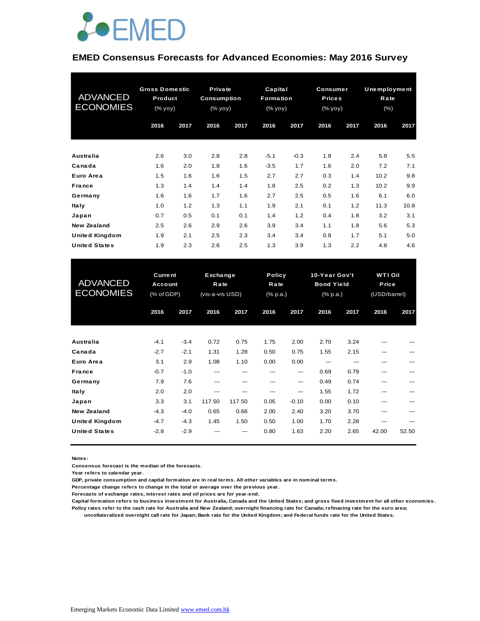

#### **EMED Consensus Forecasts for Advanced Economies: May 2016 Survey**

| <b>ADVANCED</b><br><b>ECONOMIES</b> | <b>Gross Domestic</b><br>Product<br>(% yoy) |      |                         |      |                       | Private<br><b>Consumption</b><br>(% yoy) |                                    | Capital<br>Formation<br>(% yoy) |                         | <b>Consumer</b><br><b>Prices</b><br>(% yoy) |  | Unemployment<br>Rate<br>(% ) |  |
|-------------------------------------|---------------------------------------------|------|-------------------------|------|-----------------------|------------------------------------------|------------------------------------|---------------------------------|-------------------------|---------------------------------------------|--|------------------------------|--|
|                                     | 2016                                        | 2017 | 2016                    | 2017 | 2016                  | 2017                                     | 2016                               | 2017                            | 2016                    | 2017                                        |  |                              |  |
| <b>Australia</b>                    | 2.6                                         | 3.0  | 2.8                     | 2.8  | $-5.1$                | $-0.3$                                   | 1.8                                | 2.4                             | 5.8                     | 5.5                                         |  |                              |  |
| Canada                              | 1.6                                         | 2.0  | 1.8                     | 1.6  | $-3.5$                | 1.7                                      | 1.6                                | 2.0                             | 7.2                     | 7.1                                         |  |                              |  |
| Euro Area                           | 1.5                                         | 1.6  | 1.6                     | 1.5  | 2.7                   | 2.7                                      | 0.3                                | 1.4                             | 10.2                    | 9.8                                         |  |                              |  |
| <b>France</b>                       | 1.3                                         | 1.4  | 1.4                     | 1.4  | 1.8                   | 2.5                                      | 0.2                                | 1.3                             | 10.2                    | 9.9                                         |  |                              |  |
| Germany                             | 1.6                                         | 1.6  | 1.7                     | 1.6  | 2.7                   | 2.5                                      | 0.5                                | 1.6                             | 6.1                     | 6.0                                         |  |                              |  |
| <b>Italy</b>                        | 1.0                                         | 1.2  | 1.3                     | 1.1  | 1.9                   | 2.1                                      | 0.1                                | 1.2                             | 11.3                    | 10.8                                        |  |                              |  |
| Japan                               | 0.7                                         | 0.5  | 0.1                     | 0.1  | 1.4                   | 1.2                                      | 0.4                                | 1.8                             | 3.2                     | 3.1                                         |  |                              |  |
| <b>New Zealand</b>                  | 2.5                                         | 2.6  | 2.9                     | 2.6  | 3.9                   | 3.4                                      | 1.1                                | 1.8                             | 5.6                     | 5.3                                         |  |                              |  |
| <b>United Kingdom</b>               | 1.9                                         | 2.1  | 2.5                     | 2.3  | 3.4                   | 3.4                                      | 0.8                                | 1.7                             | 5.1                     | 5.0                                         |  |                              |  |
| <b>United States</b>                | 1.9                                         | 2.3  | 2.6                     | 2.5  | 1.3                   | 3.9                                      | 1.3                                | 2.2                             | 4.8                     | 4.6                                         |  |                              |  |
|                                     |                                             |      |                         |      |                       |                                          |                                    |                                 |                         |                                             |  |                              |  |
| <b>ADVANCED</b>                     | <b>Current</b><br>Account                   |      | <b>Exchange</b><br>Rate |      | <b>Policy</b><br>Rate |                                          | 10-Year Gov't<br><b>Bond Yield</b> |                                 | <b>WTI Oil</b><br>Price |                                             |  |                              |  |

| <b>ADVANCED</b><br><b>ECONOMIES</b> | <b>Account</b><br>(% of GDP) |        |        | Rate<br>Rate<br>(vis-a-vis USD)<br>$(%$ $(% p.a.)$ |      | <b>Bond Yield</b><br>$(%$ $(% p.a.)$ | Price |      | (USD/barrel) |       |
|-------------------------------------|------------------------------|--------|--------|----------------------------------------------------|------|--------------------------------------|-------|------|--------------|-------|
|                                     | 2016                         | 2017   | 2016   | 2017                                               | 2016 | 2017                                 | 2016  | 2017 | 2016         | 2017  |
|                                     |                              |        |        |                                                    |      |                                      |       |      |              |       |
| Australia                           | $-4.1$                       | $-3.4$ | 0.72   | 0.75                                               | 1.75 | 2.00                                 | 2.70  | 3.24 | ---          |       |
| Canada                              | $-2.7$                       | $-2.1$ | 1.31   | 1.28                                               | 0.50 | 0.75                                 | 1.55  | 2.15 | ---          |       |
| Euro Area                           | 3.1                          | 2.9    | 1.08   | 1.10                                               | 0.00 | 0.00                                 | ---   | ---  | ---          | ---   |
| <b>France</b>                       | $-0.7$                       | $-1.0$ | ---    | ---                                                | ---  | ---                                  | 0.69  | 0.79 | ---          |       |
| Germany                             | 7.9                          | 7.6    | ---    | ---                                                | ---  | ---                                  | 0.49  | 0.74 | ---          |       |
| Ita Iv                              | 2.0                          | 2.0    | ---    | ---                                                | ---  | $\qquad \qquad \cdots$               | 1.55  | 1.72 | ---          | ---   |
| Japan                               | 3.3                          | 3.1    | 117.50 | 117.50                                             | 0.05 | $-0.10$                              | 0.00  | 0.10 | ---          | ---   |
| <b>New Zealand</b>                  | $-4.3$                       | $-4.0$ | 0.65   | 0.66                                               | 2.00 | 2.40                                 | 3.20  | 3.70 | ---          |       |
| United Kingdom                      | $-4.7$                       | $-4.3$ | 1.45   | 1.50                                               | 0.50 | 1.00                                 | 1.70  | 2.28 | ---          | ---   |
| <b>United States</b>                | $-2.8$                       | $-2.9$ | ---    | ---                                                | 0.80 | 1.63                                 | 2.20  | 2.65 | 42.00        | 52.50 |

**Notes:** 

**Consensus forecast is the median of the forecasts.**

**Year refers to calendar year.**

**GDP, private consumption and capital formation are in real terms. All other variables are in nominal terms.**

**Percentage change refers to change in the total or average over the previous year.**

**Forecasts of exchange rates, interest rates and oil prices are for year-end.**

**Capital formation refers to business investment for Australia, Canada and the United States; and gross fixed investment for all other economies. Policy rates refer to the cash rate for Australia and New Zealand; overnight financing rate for Canada; refinacing rate for the euro area;** 

 **uncollateralized overnight call rate for Japan; Bank rate for the United Kingdom; and Federal funds rate for the United States.**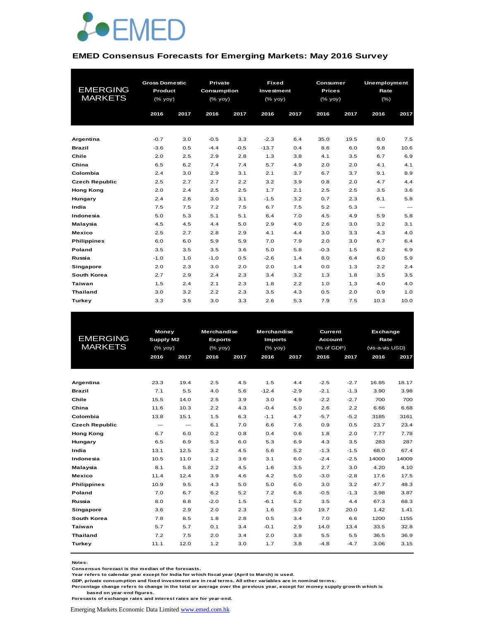

#### **EMED Consensus Forecasts for Emerging Markets: May 2016 Survey**

| <b>EMERGING</b><br><b>MARKETS</b> | <b>Gross Domestic</b><br>Product<br>$(%$ (% yoy)<br>2017<br>2016 |     | <b>Private</b><br>Consumption<br>(% yoy)<br>2016<br>2017 |        | <b>Fixed</b><br>Investment<br>$(%$ (% yoy)<br>2017<br>2016 |     | Consumer<br><b>Prices</b><br>(% yoy)<br>2016<br>2017 |      | Unemployment<br>Rate<br>(%)<br>2016<br>2017 |                   |
|-----------------------------------|------------------------------------------------------------------|-----|----------------------------------------------------------|--------|------------------------------------------------------------|-----|------------------------------------------------------|------|---------------------------------------------|-------------------|
|                                   |                                                                  |     |                                                          |        |                                                            |     |                                                      |      |                                             |                   |
|                                   |                                                                  |     |                                                          |        |                                                            |     |                                                      |      |                                             |                   |
| Argentina                         | $-0.7$                                                           | 3.0 | $-0.5$                                                   | 3.3    | $-2.3$                                                     | 6.4 | 35.0                                                 | 19.5 | 8.0                                         | 7.5               |
| <b>Brazil</b>                     | $-3.6$                                                           | 0.5 | $-4.4$                                                   | $-0.5$ | $-13.7$                                                    | 0.4 | 8.6                                                  | 6.0  | 9.8                                         | 10.6              |
| Chile                             | 2.0                                                              | 2.5 | 2.9                                                      | 2.8    | 1.3                                                        | 3.8 | 4.1                                                  | 3.5  | 6.7                                         | 6.9               |
| China                             | 6.5                                                              | 6.2 | 7.4                                                      | 7.4    | 5.7                                                        | 4.9 | 2.0                                                  | 2.0  | 4.1                                         | 4.1               |
| Colombia                          | 2.4                                                              | 3.0 | 2.9                                                      | 3.1    | 2.1                                                        | 3.7 | 6.7                                                  | 3.7  | 9.1                                         | 8.9               |
| <b>Czech Republic</b>             | 2.5                                                              | 2.7 | 2.7                                                      | 2.2    | 3.2                                                        | 3.9 | 0.8                                                  | 2.0  | 4.7                                         | 4.4               |
| <b>Hong Kong</b>                  | 2.0                                                              | 2.4 | 2.5                                                      | 2.5    | 1.7                                                        | 2.1 | 2.5                                                  | 2.5  | 3.5                                         | 3.6               |
| Hungary                           | 2.4                                                              | 2.6 | 3.0                                                      | 3.1    | $-1.5$                                                     | 3.2 | 0.7                                                  | 2.3  | 6.1                                         | 5.8               |
| India                             | 7.5                                                              | 7.5 | 7.2                                                      | 7.5    | 6.7                                                        | 7.5 | 5.2                                                  | 5.3  | $\qquad \qquad \cdots$                      | $\qquad \qquad -$ |
| Indonesia                         | 5.0                                                              | 5.3 | 5.1                                                      | 5.1    | 6.4                                                        | 7.0 | 4.5                                                  | 4.9  | 5.9                                         | 5.8               |
| Malaysia                          | 4.5                                                              | 4.5 | 4.4                                                      | 5.0    | 2.9                                                        | 4.0 | 2.6                                                  | 3.0  | 3.2                                         | 3.1               |
| <b>Mexico</b>                     | 2.5                                                              | 2.7 | 2.8                                                      | 2.9    | 4.1                                                        | 4.4 | 3.0                                                  | 3.3  | 4.3                                         | 4.0               |
| <b>Philippines</b>                | 6.0                                                              | 6.0 | 5.9                                                      | 5.9    | 7.0                                                        | 7.9 | 2.0                                                  | 3.0  | 6.7                                         | 6.4               |
| Poland                            | 3.5                                                              | 3.5 | 3.5                                                      | 3.6    | 5.0                                                        | 5.8 | $-0.3$                                               | 1.5  | 8.2                                         | 6.9               |
| Russia                            | $-1.0$                                                           | 1.0 | $-1.0$                                                   | 0.5    | $-2.6$                                                     | 1.4 | 8.0                                                  | 6.4  | 6.0                                         | 5.9               |
| <b>Singapore</b>                  | 2.0                                                              | 2.3 | 3.0                                                      | 2.0    | 2.0                                                        | 1.4 | 0.0                                                  | 1.3  | 2.2                                         | 2.4               |
| South Korea                       | 2.7                                                              | 2.9 | 2.4                                                      | 2.3    | 3.4                                                        | 3.2 | 1.3                                                  | 1.8  | 3.5                                         | 3.5               |
| Taiwan                            | 1.5                                                              | 2.4 | 2.1                                                      | 2.3    | 1.8                                                        | 2.2 | 1.0                                                  | 1.3  | 4.0                                         | 4.0               |
| <b>Thailand</b>                   | 3.0                                                              | 3.2 | 2.2                                                      | 2.3    | 3.5                                                        | 4.3 | 0.5                                                  | 2.0  | 0.9                                         | 1.0               |
| Turkey                            | 3.3                                                              | 3.5 | 3.0                                                      | 3.3    | 2.6                                                        | 5.3 | 7.9                                                  | 7.5  | 10.3                                        | 10.0              |

| <b>EMERGING</b><br><b>MARKETS</b> |                          | Money<br>Supply M2<br>(% yoy) |        | <b>Merchandise</b><br><b>Merchandise</b><br><b>Exports</b><br><b>Imports</b><br>$(%$ (% yoy)<br>(% yoy) |         |        | Current<br><b>Account</b><br>(% of GDP) |        | Exchange<br>Rate<br>(vis-a-vis USD) |       |
|-----------------------------------|--------------------------|-------------------------------|--------|---------------------------------------------------------------------------------------------------------|---------|--------|-----------------------------------------|--------|-------------------------------------|-------|
|                                   | 2016                     | 2017                          | 2016   | 2017                                                                                                    | 2016    | 2017   | 2016                                    | 2017   | 2016                                | 2017  |
|                                   |                          |                               |        |                                                                                                         |         |        |                                         |        |                                     |       |
| Argentina                         | 23.3                     | 19.4                          | 2.5    | 4.5                                                                                                     | 1.5     | 4.4    | $-2.5$                                  | $-2.7$ | 16.85                               | 18.17 |
| <b>Brazil</b>                     | 7.1                      | 5.5                           | 4.0    | 5.6                                                                                                     | $-12.4$ | $-2.9$ | $-2.1$                                  | $-1.3$ | 3.90                                | 3.98  |
| Chile                             | 15.5                     | 14.0                          | 2.5    | 3.9                                                                                                     | 3.0     | 4.9    | $-2.2$                                  | $-2.7$ | 700                                 | 700   |
| China                             | 11.6                     | 10.3                          | 2.2    | 4.3                                                                                                     | $-0.4$  | 5.0    | 2.6                                     | 2.2    | 6.66                                | 6.68  |
| Colombia                          | 13.8                     | 15.1                          | 1.5    | 6.3                                                                                                     | $-1.1$  | 4.7    | $-5.7$                                  | $-5.2$ | 3185                                | 3161  |
| <b>Czech Republic</b>             | $\hspace{0.05cm} \ldots$ | $\hspace{0.05cm} \ldots$      | 6.1    | 7.0                                                                                                     | 6.6     | 7.6    | 0.9                                     | 0.5    | 23.7                                | 23.4  |
| <b>Hong Kong</b>                  | 6.7                      | 6.0                           | 0.2    | 0.8                                                                                                     | 0.4     | 0.6    | 1.8                                     | 2.0    | 7.77                                | 7.78  |
| Hungary                           | 6.5                      | 6.9                           | 5.3    | 6.0                                                                                                     | 5.3     | 6.9    | 4.3                                     | 3.5    | 283                                 | 287   |
| India                             | 13.1                     | 12.5                          | 3.2    | 4.5                                                                                                     | 5.6     | 5.2    | $-1.3$                                  | $-1.5$ | 68.0                                | 67.4  |
| Indonesia                         | 10.5                     | 11.0                          | 1.2    | 3.6                                                                                                     | 3.1     | 6.0    | $-2.4$                                  | $-2.5$ | 14000                               | 14009 |
| Malaysia                          | 8.1                      | 5.8                           | 2.2    | 4.5                                                                                                     | 1.6     | 3.5    | 2.7                                     | 3.0    | 4.20                                | 4.10  |
| <b>Mexico</b>                     | 11.4                     | 12.4                          | 3.9    | 4.6                                                                                                     | 4.2     | 5.0    | $-3.0$                                  | $-2.8$ | 17.6                                | 17.5  |
| <b>Philippines</b>                | 10.9                     | 9.5                           | 4.3    | 5.0                                                                                                     | 5.0     | 6.0    | 3.0                                     | 3.2    | 47.7                                | 48.3  |
| Poland                            | 7.0                      | 6.7                           | 6.2    | 5.2                                                                                                     | 7.2     | 6.8    | $-0.5$                                  | $-1.3$ | 3.98                                | 3.87  |
| Russia                            | 8.0                      | 8.8                           | $-2.0$ | 1.5                                                                                                     | $-6.1$  | 5.2    | 3.5                                     | 4.4    | 67.3                                | 68.3  |
| <b>Singapore</b>                  | 3.6                      | 2.9                           | 2.0    | 2.3                                                                                                     | 1.6     | 3.0    | 19.7                                    | 20.0   | 1.42                                | 1.41  |
| South Korea                       | 7.8                      | 8.5                           | 1.8    | 2.8                                                                                                     | 0.5     | 3.4    | 7.0                                     | 6.6    | 1200                                | 1155  |
| Taiwan                            | 5.7                      | 5.7                           | 0.1    | 3.4                                                                                                     | $-0.1$  | 2.9    | 14.0                                    | 13.4   | 33.5                                | 32.8  |
| <b>Thailand</b>                   | 7.2                      | 7.5                           | 2.0    | 3.4                                                                                                     | 2.0     | 3.8    | 5.5                                     | 5.5    | 36.5                                | 36.9  |
| Turkey                            | 11.1                     | 12.0                          | 1.2    | 3.0                                                                                                     | 1.7     | 3.8    | $-4.8$                                  | $-4.7$ | 3.06                                | 3.15  |

**Notes:** 

**Consensus forecast is the median of the forecasts.**

**Year refers to calendar year except for India for which fiscal year (April to March) is used.**

**GDP, private consumption and fixed investment are in real terms. All other variables are in nominal terms.**

**Percentage change refers to change in the total or average over the previous year, except for money supply growth which is** 

 **based on year-end figures. Forecasts of exchange rates and interest rates are for year-end.**

Emerging Markets Economic Data Limited www.emed.com.hk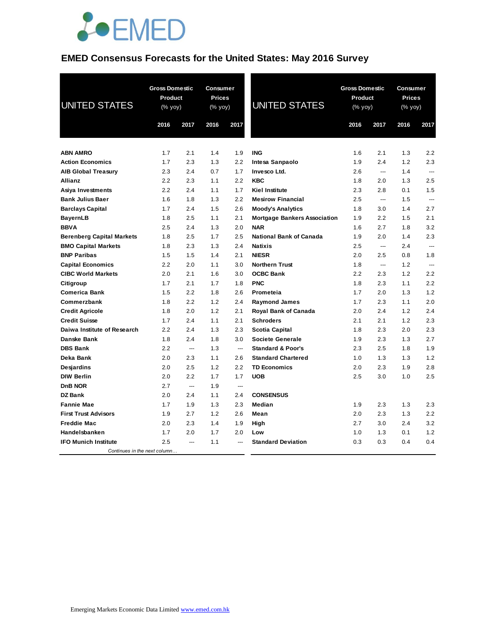

### **EMED Consensus Forecasts for the United States: May 2016 Survey**

| <b>UNITED STATES</b>             | <b>Gross Domestic</b><br>Product<br>(% yoy) |                          | Consumer<br><b>Prices</b><br>(% yoy) |                | <b>UNITED STATES</b>                |      | <b>Gross Domestic</b><br>Product<br>(% yoy) |      | Consumer<br>Prices<br>(% yoy) |  |
|----------------------------------|---------------------------------------------|--------------------------|--------------------------------------|----------------|-------------------------------------|------|---------------------------------------------|------|-------------------------------|--|
|                                  | 2016                                        | 2017                     | 2016                                 | 2017           |                                     | 2016 | 2017                                        | 2016 | 2017                          |  |
| <b>ABN AMRO</b>                  | 1.7                                         | 2.1                      | 1.4                                  | 1.9            | <b>ING</b>                          | 1.6  | 2.1                                         | 1.3  | 2.2                           |  |
| <b>Action Economics</b>          | 1.7                                         | 2.3                      | 1.3                                  | 2.2            | Intesa Sanpaolo                     | 1.9  | 2.4                                         | 1.2  | 2.3                           |  |
| <b>AIB Global Treasury</b>       | 2.3                                         | 2.4                      | 0.7                                  | 1.7            | Invesco Ltd.                        | 2.6  | $\overline{\phantom{a}}$                    | 1.4  | $\overline{\phantom{a}}$      |  |
| Allianz                          | 2.2                                         | 2.3                      | 1.1                                  | 2.2            | <b>KBC</b>                          | 1.8  | 2.0                                         | 1.3  | 2.5                           |  |
| Asiya Investments                | 2.2                                         | 2.4                      | 1.1                                  | 1.7            | <b>Kiel Institute</b>               | 2.3  | 2.8                                         | 0.1  | 1.5                           |  |
| <b>Bank Julius Baer</b>          | 1.6                                         | 1.8                      | 1.3                                  | 2.2            | <b>Mesirow Financial</b>            | 2.5  | $---$                                       | 1.5  | $\overline{a}$                |  |
| <b>Barclays Capital</b>          | 1.7                                         | 2.4                      | 1.5                                  | 2.6            | <b>Moody's Analytics</b>            | 1.8  | 3.0                                         | 1.4  | 2.7                           |  |
| <b>BayernLB</b>                  | 1.8                                         | 2.5                      | 1.1                                  | 2.1            | <b>Mortgage Bankers Association</b> | 1.9  | 2.2                                         | 1.5  | 2.1                           |  |
| <b>BBVA</b>                      | 2.5                                         | 2.4                      | 1.3                                  | 2.0            | <b>NAR</b>                          | 1.6  | 2.7                                         | 1.8  | 3.2                           |  |
| <b>Berenberg Capital Markets</b> | 1.8                                         | 2.5                      | 1.7                                  | 2.5            | <b>National Bank of Canada</b>      | 1.9  | 2.0                                         | 1.4  | 2.3                           |  |
| <b>BMO Capital Markets</b>       | 1.8                                         | 2.3                      | 1.3                                  | 2.4            | <b>Natixis</b>                      | 2.5  | ---                                         | 2.4  | $---$                         |  |
| <b>BNP Paribas</b>               | 1.5                                         | 1.5                      | 1.4                                  | 2.1            | <b>NIESR</b>                        | 2.0  | 2.5                                         | 0.8  | 1.8                           |  |
| <b>Capital Economics</b>         | 2.2                                         | 2.0                      | 1.1                                  | 3.0            | <b>Northern Trust</b>               | 1.8  | ---                                         | 1.2  | ---                           |  |
| <b>CIBC World Markets</b>        | 2.0                                         | 2.1                      | 1.6                                  | 3.0            | <b>OCBC Bank</b>                    | 2.2  | 2.3                                         | 1.2  | 2.2                           |  |
| Citigroup                        | 1.7                                         | 2.1                      | 1.7                                  | 1.8            | <b>PNC</b>                          | 1.8  | 2.3                                         | 1.1  | 2.2                           |  |
| <b>Comerica Bank</b>             | 1.5                                         | 2.2                      | 1.8                                  | 2.6            | Prometeia                           | 1.7  | 2.0                                         | 1.3  | 1.2                           |  |
| Commerzbank                      | 1.8                                         | 2.2                      | 1.2                                  | 2.4            | <b>Raymond James</b>                | 1.7  | 2.3                                         | 1.1  | 2.0                           |  |
| <b>Credit Agricole</b>           | 1.8                                         | 2.0                      | 1.2                                  | 2.1            | Royal Bank of Canada                | 2.0  | 2.4                                         | 1.2  | 2.4                           |  |
| <b>Credit Suisse</b>             | 1.7                                         | 2.4                      | 1.1                                  | 2.1            | Schroders                           | 2.1  | 2.1                                         | 1.2  | 2.3                           |  |
| Daiwa Institute of Research      | 2.2                                         | 2.4                      | 1.3                                  | 2.3            | Scotia Capital                      | 1.8  | 2.3                                         | 2.0  | 2.3                           |  |
| Danske Bank                      | 1.8                                         | 2.4                      | 1.8                                  | 3.0            | <b>Societe Generale</b>             | 1.9  | 2.3                                         | 1.3  | 2.7                           |  |
| <b>DBS Bank</b>                  | 2.2                                         | $\overline{a}$           | 1.3                                  | ---            | <b>Standard &amp; Poor's</b>        | 2.3  | 2.5                                         | 1.8  | 1.9                           |  |
| Deka Bank                        | 2.0                                         | 2.3                      | 1.1                                  | 2.6            | <b>Standard Chartered</b>           | 1.0  | 1.3                                         | 1.3  | 1.2                           |  |
| Desjardins                       | 2.0                                         | 2.5                      | 1.2                                  | 2.2            | <b>TD Economics</b>                 | 2.0  | 2.3                                         | 1.9  | 2.8                           |  |
| <b>DIW Berlin</b>                | 2.0                                         | 2.2                      | 1.7                                  | 1.7            | <b>UOB</b>                          | 2.5  | 3.0                                         | 1.0  | 2.5                           |  |
| D <sub>n</sub> B NOR             | 2.7                                         | $\overline{\phantom{a}}$ | 1.9                                  | $\overline{a}$ |                                     |      |                                             |      |                               |  |
| DZ Bank                          | 2.0                                         | 2.4                      | 1.1                                  | 2.4            | <b>CONSENSUS</b>                    |      |                                             |      |                               |  |
| <b>Fannie Mae</b>                | 1.7                                         | 1.9                      | 1.3                                  | 2.3            | Median                              | 1.9  | 2.3                                         | 1.3  | 2.3                           |  |
| <b>First Trust Advisors</b>      | 1.9                                         | 2.7                      | 1.2                                  | 2.6            | Mean                                | 2.0  | 2.3                                         | 1.3  | 2.2                           |  |
| <b>Freddie Mac</b>               | 2.0                                         | 2.3                      | 1.4                                  | 1.9            | High                                | 2.7  | 3.0                                         | 2.4  | 3.2                           |  |
| Handelsbanken                    | 1.7                                         | 2.0                      | 1.7                                  | 2.0            | Low                                 | 1.0  | 1.3                                         | 0.1  | 1.2                           |  |
| <b>IFO Munich Institute</b>      | 2.5                                         | $\overline{a}$           | 1.1                                  | $\overline{a}$ | <b>Standard Deviation</b>           | 0.3  | 0.3                                         | 0.4  | 0.4                           |  |
| Continues in the next column     |                                             |                          |                                      |                |                                     |      |                                             |      |                               |  |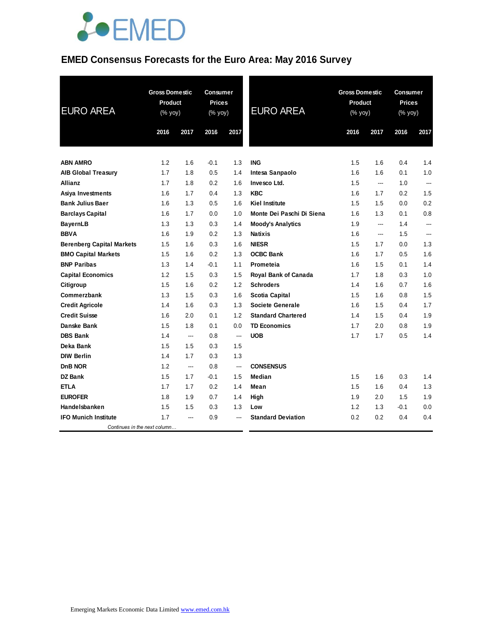#### **EMED Consensus Forecasts for the Euro Area: May 2016 Survey**

| <b>EURO AREA</b>                 | <b>Gross Domestic</b><br>Product<br>(% yoy) | <b>Gross Domestic</b><br><b>Consumer</b><br><b>Prices</b><br>Product<br><b>EURO AREA</b><br>(% yoy)<br>(% yoy) |        |      | Consumer<br><b>Prices</b><br>(% yoy) |      |      |        |      |
|----------------------------------|---------------------------------------------|----------------------------------------------------------------------------------------------------------------|--------|------|--------------------------------------|------|------|--------|------|
|                                  | 2016                                        | 2017                                                                                                           | 2016   | 2017 |                                      | 2016 | 2017 | 2016   | 2017 |
|                                  |                                             |                                                                                                                |        |      |                                      |      |      |        |      |
| <b>ABN AMRO</b>                  | 1.2                                         | 1.6                                                                                                            | $-0.1$ | 1.3  | <b>ING</b>                           | 1.5  | 1.6  | 0.4    | 1.4  |
| <b>AIB Global Treasury</b>       | 1.7                                         | 1.8                                                                                                            | 0.5    | 1.4  | Intesa Sanpaolo                      | 1.6  | 1.6  | 0.1    | 1.0  |
| <b>Allianz</b>                   | 1.7                                         | 1.8                                                                                                            | 0.2    | 1.6  | Invesco Ltd.                         | 1.5  | ---  | 1.0    | ---  |
| Asiya Investments                | 1.6                                         | 1.7                                                                                                            | 0.4    | 1.3  | <b>KBC</b>                           | 1.6  | 1.7  | 0.2    | 1.5  |
| <b>Bank Julius Baer</b>          | 1.6                                         | 1.3                                                                                                            | 0.5    | 1.6  | <b>Kiel Institute</b>                | 1.5  | 1.5  | 0.0    | 0.2  |
| <b>Barclays Capital</b>          | 1.6                                         | 1.7                                                                                                            | 0.0    | 1.0  | Monte Dei Paschi Di Siena            | 1.6  | 1.3  | 0.1    | 0.8  |
| <b>BayernLB</b>                  | 1.3                                         | 1.3                                                                                                            | 0.3    | 1.4  | <b>Moody's Analytics</b>             | 1.9  | ---  | 1.4    | ---  |
| <b>BBVA</b>                      | 1.6                                         | 1.9                                                                                                            | 0.2    | 1.3  | <b>Natixis</b>                       | 1.6  | ---  | 1.5    | ---  |
| <b>Berenberg Capital Markets</b> | 1.5                                         | 1.6                                                                                                            | 0.3    | 1.6  | <b>NIESR</b>                         | 1.5  | 1.7  | 0.0    | 1.3  |
| <b>BMO Capital Markets</b>       | 1.5                                         | 1.6                                                                                                            | 0.2    | 1.3  | <b>OCBC Bank</b>                     | 1.6  | 1.7  | 0.5    | 1.6  |
| <b>BNP Paribas</b>               | 1.3                                         | 1.4                                                                                                            | $-0.1$ | 1.1  | Prometeia                            | 1.6  | 1.5  | 0.1    | 1.4  |
| <b>Capital Economics</b>         | 1.2                                         | 1.5                                                                                                            | 0.3    | 1.5  | Royal Bank of Canada                 | 1.7  | 1.8  | 0.3    | 1.0  |
| Citigroup                        | 1.5                                         | 1.6                                                                                                            | 0.2    | 1.2  | <b>Schroders</b>                     | 1.4  | 1.6  | 0.7    | 1.6  |
| Commerzbank                      | 1.3                                         | 1.5                                                                                                            | 0.3    | 1.6  | <b>Scotia Capital</b>                | 1.5  | 1.6  | 0.8    | 1.5  |
| <b>Credit Agricole</b>           | 1.4                                         | 1.6                                                                                                            | 0.3    | 1.3  | <b>Societe Generale</b>              | 1.6  | 1.5  | 0.4    | 1.7  |
| <b>Credit Suisse</b>             | 1.6                                         | 2.0                                                                                                            | 0.1    | 1.2  | <b>Standard Chartered</b>            | 1.4  | 1.5  | 0.4    | 1.9  |
| Danske Bank                      | 1.5                                         | 1.8                                                                                                            | 0.1    | 0.0  | <b>TD Economics</b>                  | 1.7  | 2.0  | 0.8    | 1.9  |
| <b>DBS Bank</b>                  | 1.4                                         | ---                                                                                                            | 0.8    | ---  | <b>UOB</b>                           | 1.7  | 1.7  | 0.5    | 1.4  |
| Deka Bank                        | 1.5                                         | 1.5                                                                                                            | 0.3    | 1.5  |                                      |      |      |        |      |
| <b>DIW Berlin</b>                | 1.4                                         | 1.7                                                                                                            | 0.3    | 1.3  |                                      |      |      |        |      |
| DnB NOR                          | 1.2                                         | ---                                                                                                            | 0.8    |      | <b>CONSENSUS</b>                     |      |      |        |      |
| <b>DZ Bank</b>                   | 1.5                                         | 1.7                                                                                                            | $-0.1$ | 1.5  | Median                               | 1.5  | 1.6  | 0.3    | 1.4  |
| <b>ETLA</b>                      | 1.7                                         | 1.7                                                                                                            | 0.2    | 1.4  | Mean                                 | 1.5  | 1.6  | 0.4    | 1.3  |
| <b>EUROFER</b>                   | 1.8                                         | 1.9                                                                                                            | 0.7    | 1.4  | High                                 | 1.9  | 2.0  | 1.5    | 1.9  |
| Handelsbanken                    | 1.5                                         | 1.5                                                                                                            | 0.3    | 1.3  | Low                                  | 1.2  | 1.3  | $-0.1$ | 0.0  |
| <b>IFO Munich Institute</b>      | 1.7                                         | ---                                                                                                            | 0.9    | ---  | <b>Standard Deviation</b>            | 0.2  | 0.2  | 0.4    | 0.4  |
| Continues in the next column     |                                             |                                                                                                                |        |      |                                      |      |      |        |      |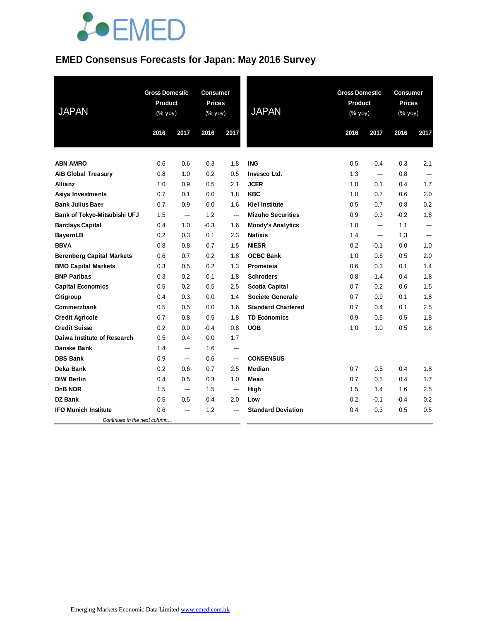#### **EMED Consensus Forecasts for Japan: May 2016 Survey**

| <b>JAPAN</b>                     | <b>Gross Domestic</b><br><b>Product</b><br>(% yoy) |        | <b>Consumer</b><br><b>Prices</b><br>(% yoy) |        | <b>JAPAN</b>              | <b>Gross Domestic</b><br><b>Product</b><br>(% yoy) |                          | <b>Consumer</b><br><b>Prices</b><br>(% yoy) |                          |
|----------------------------------|----------------------------------------------------|--------|---------------------------------------------|--------|---------------------------|----------------------------------------------------|--------------------------|---------------------------------------------|--------------------------|
|                                  | 2016                                               | 2017   | 2016                                        | 2017   |                           | 2016                                               | 2017                     | 2016                                        | 2017                     |
|                                  |                                                    |        |                                             |        |                           |                                                    |                          |                                             |                          |
| <b>ABN AMRO</b>                  | 0.6                                                | 0.6    | 0.3                                         | 1.8    | <b>ING</b>                | 0.5                                                | 0.4                      | 0.3                                         | 2.1                      |
| <b>AIB Global Treasury</b>       | 0.8                                                | 1.0    | 0.2                                         | 0.5    | Invesco Ltd.              | 1.3                                                | $\overline{\phantom{a}}$ | 0.8                                         | $\overline{\phantom{a}}$ |
| <b>Allianz</b>                   | 1.0                                                | 0.9    | 0.5                                         | 2.1    | <b>JCER</b>               | 1.0                                                | 0.1                      | 0.4                                         | 1.7                      |
| Asiya Investments                | 0.7                                                | 0.1    | 0.0                                         | 1.8    | <b>KBC</b>                | 1.0                                                | 0.7                      | 0.6                                         | 2.0                      |
| <b>Bank Julius Baer</b>          | 0.7                                                | 0.9    | 0.0                                         | 1.6    | <b>Kiel Institute</b>     | 0.5                                                | 0.7                      | 0.8                                         | 0.2                      |
| Bank of Tokyo-Mitsubishi UFJ     | 1.5                                                | $\sim$ | 1.2                                         | --     | <b>Mizuho Securities</b>  | 0.9                                                | 0.3                      | $-0.2$                                      | 1.8                      |
| <b>Barclays Capital</b>          | 0.4                                                | 1.0    | $-0.3$                                      | 1.6    | <b>Moody's Analytics</b>  | 1.0                                                | $\overline{a}$           | 1.1                                         | ---                      |
| <b>BayernLB</b>                  | 0.2                                                | 0.3    | 0.1                                         | 2.3    | <b>Natixis</b>            | 1.4                                                | $\overline{a}$           | 1.3                                         | $\overline{\phantom{a}}$ |
| <b>BBVA</b>                      | 0.8                                                | 0.8    | 0.7                                         | 1.5    | <b>NIESR</b>              | 0.2                                                | $-0.1$                   | 0.0                                         | 1.0                      |
| <b>Berenberg Capital Markets</b> | 0.6                                                | 0.7    | 0.2                                         | 1.8    | <b>OCBC Bank</b>          | 1.0                                                | 0.6                      | 0.5                                         | 2.0                      |
| <b>BMO Capital Markets</b>       | 0.3                                                | 0.5    | 0.2                                         | 1.3    | Prometeia                 | 0.6                                                | 0.3                      | 0.1                                         | 1.4                      |
| <b>BNP Paribas</b>               | 0.3                                                | 0.2    | 0.1                                         | 1.8    | <b>Schroders</b>          | 0.8                                                | 1.4                      | 0.4                                         | 1.8                      |
| <b>Capital Economics</b>         | 0.5                                                | 0.2    | 0.5                                         | 2.5    | <b>Scotia Capital</b>     | 0.7                                                | 0.2                      | 0.6                                         | 1.5                      |
| Citigroup                        | 0.4                                                | 0.3    | 0.0                                         | 1.4    | Societe Generale          | 0.7                                                | 0.9                      | 0.1                                         | 1.8                      |
| Commerzbank                      | 0.5                                                | 0.5    | 0.0                                         | 1.6    | <b>Standard Chartered</b> | 0.7                                                | 0.4                      | 0.1                                         | 2.5                      |
| <b>Credit Agricole</b>           | 0.7                                                | 0.8    | 0.5                                         | 1.8    | <b>TD Economics</b>       | 0.9                                                | 0.5                      | 0.5                                         | 1.8                      |
| <b>Credit Suisse</b>             | 0.2                                                | 0.0    | $-0.4$                                      | 0.8    | <b>UOB</b>                | 1.0                                                | 1.0                      | 0.5                                         | 1.8                      |
| Daiwa Institute of Research      | 0.5                                                | 0.4    | 0.0                                         | 1.7    |                           |                                                    |                          |                                             |                          |
| Danske Bank                      | 1.4                                                | ---    | 1.6                                         | ---    |                           |                                                    |                          |                                             |                          |
| <b>DBS Bank</b>                  | 0.9                                                | ---    | 0.6                                         | $\sim$ | <b>CONSENSUS</b>          |                                                    |                          |                                             |                          |
| Deka Bank                        | 0.2                                                | 0.6    | 0.7                                         | 2.5    | Median                    | 0.7                                                | 0.5                      | 0.4                                         | 1.8                      |
| <b>DIW Berlin</b>                | 0.4                                                | 0.5    | 0.3                                         | 1.0    | Mean                      | 0.7                                                | 0.5                      | 0.4                                         | 1.7                      |
| DnB NOR                          | 1.5                                                | ---    | 1.5                                         | $\sim$ | High                      | 1.5                                                | 1.4                      | 1.6                                         | 2.5                      |
| <b>DZ Bank</b>                   | 0.5                                                | 0.5    | 0.4                                         | 2.0    | Low                       | 0.2                                                | $-0.1$                   | $-0.4$                                      | 0.2                      |
| <b>IFO Munich Institute</b>      | 0.6                                                | ---    | 1.2                                         |        | <b>Standard Deviation</b> | 0.4                                                | 0.3                      | 0.5                                         | 0.5                      |
| Continues in the next column     |                                                    |        |                                             |        |                           |                                                    |                          |                                             |                          |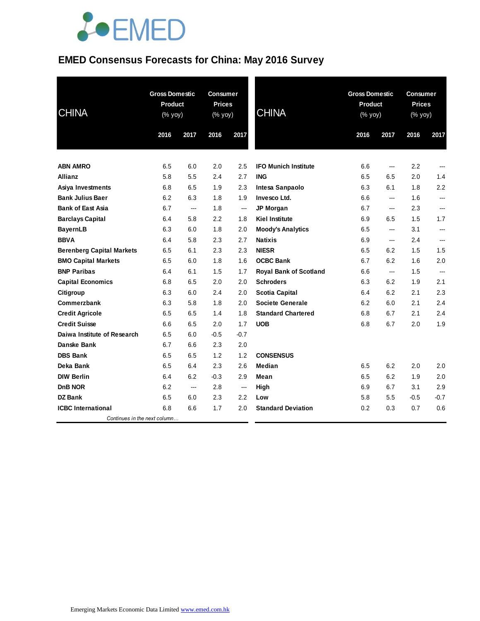### **EMED Consensus Forecasts for China: May 2016 Survey**

| <b>CHINA</b>                     | <b>Gross Domestic</b><br>Product<br>(% yoy) |                          | <b>Consumer</b><br><b>Prices</b><br>(% yoy) |                          | <b>CHINA</b>                  | <b>Gross Domestic</b><br><b>Product</b><br>(% yoy) |                          | <b>Consumer</b><br><b>Prices</b><br>(% yoy) |        |
|----------------------------------|---------------------------------------------|--------------------------|---------------------------------------------|--------------------------|-------------------------------|----------------------------------------------------|--------------------------|---------------------------------------------|--------|
|                                  | 2016                                        | 2017                     | 2016                                        | 2017                     |                               | 2016                                               | 2017                     | 2016                                        | 2017   |
|                                  |                                             |                          |                                             |                          |                               |                                                    |                          |                                             |        |
| <b>ABN AMRO</b>                  | 6.5                                         | 6.0                      | 2.0                                         | 2.5                      | <b>IFO Munich Institute</b>   | 6.6                                                | $\hspace{0.05cm} \ldots$ | 2.2                                         |        |
| <b>Allianz</b>                   | 5.8                                         | 5.5                      | 2.4                                         | 2.7                      | <b>ING</b>                    | 6.5                                                | 6.5                      | 2.0                                         | 1.4    |
| Asiya Investments                | 6.8                                         | 6.5                      | 1.9                                         | 2.3                      | Intesa Sanpaolo               | 6.3                                                | 6.1                      | 1.8                                         | 2.2    |
| <b>Bank Julius Baer</b>          | 6.2                                         | 6.3                      | 1.8                                         | 1.9                      | Invesco Ltd.                  | 6.6                                                | ---                      | 1.6                                         | ---    |
| <b>Bank of East Asia</b>         | 6.7                                         | ---                      | 1.8                                         | $\overline{\phantom{a}}$ | <b>JP Morgan</b>              | 6.7                                                | ---                      | 2.3                                         | ---    |
| <b>Barclays Capital</b>          | 6.4                                         | 5.8                      | 2.2                                         | 1.8                      | <b>Kiel Institute</b>         | 6.9                                                | 6.5                      | 1.5                                         | 1.7    |
| <b>BayernLB</b>                  | 6.3                                         | 6.0                      | 1.8                                         | 2.0                      | <b>Moody's Analytics</b>      | 6.5                                                | ---                      | 3.1                                         | ---    |
| <b>BBVA</b>                      | 6.4                                         | 5.8                      | 2.3                                         | 2.7                      | Natixis                       | 6.9                                                | $\overline{\phantom{a}}$ | 2.4                                         | $---$  |
| <b>Berenberg Capital Markets</b> | 6.5                                         | 6.1                      | 2.3                                         | 2.3                      | <b>NIESR</b>                  | 6.5                                                | 6.2                      | 1.5                                         | 1.5    |
| <b>BMO Capital Markets</b>       | 6.5                                         | 6.0                      | 1.8                                         | 1.6                      | <b>OCBC Bank</b>              | 6.7                                                | 6.2                      | 1.6                                         | 2.0    |
| <b>BNP Paribas</b>               | 6.4                                         | 6.1                      | 1.5                                         | 1.7                      | <b>Royal Bank of Scotland</b> | 6.6                                                | ---                      | 1.5                                         | ---    |
| <b>Capital Economics</b>         | 6.8                                         | 6.5                      | 2.0                                         | 2.0                      | <b>Schroders</b>              | 6.3                                                | 6.2                      | 1.9                                         | 2.1    |
| Citigroup                        | 6.3                                         | 6.0                      | 2.4                                         | 2.0                      | <b>Scotia Capital</b>         | 6.4                                                | 6.2                      | 2.1                                         | 2.3    |
| Commerzbank                      | 6.3                                         | 5.8                      | 1.8                                         | 2.0                      | <b>Societe Generale</b>       | 6.2                                                | 6.0                      | 2.1                                         | 2.4    |
| <b>Credit Agricole</b>           | 6.5                                         | 6.5                      | 1.4                                         | 1.8                      | <b>Standard Chartered</b>     | 6.8                                                | 6.7                      | 2.1                                         | 2.4    |
| <b>Credit Suisse</b>             | 6.6                                         | 6.5                      | 2.0                                         | 1.7                      | <b>UOB</b>                    | 6.8                                                | 6.7                      | 2.0                                         | 1.9    |
| Daiwa Institute of Research      | 6.5                                         | 6.0                      | $-0.5$                                      | $-0.7$                   |                               |                                                    |                          |                                             |        |
| <b>Danske Bank</b>               | 6.7                                         | 6.6                      | 2.3                                         | 2.0                      |                               |                                                    |                          |                                             |        |
| <b>DBS Bank</b>                  | 6.5                                         | 6.5                      | 1.2                                         | 1.2                      | <b>CONSENSUS</b>              |                                                    |                          |                                             |        |
| Deka Bank                        | 6.5                                         | 6.4                      | 2.3                                         | 2.6                      | Median                        | 6.5                                                | 6.2                      | 2.0                                         | 2.0    |
| <b>DIW Berlin</b>                | 6.4                                         | 6.2                      | $-0.3$                                      | 2.9                      | Mean                          | 6.5                                                | 6.2                      | 1.9                                         | 2.0    |
| <b>DnB NOR</b>                   | 6.2                                         | $\overline{\phantom{a}}$ | 2.8                                         | $\hspace{0.05cm} \ldots$ | High                          | 6.9                                                | 6.7                      | 3.1                                         | 2.9    |
| <b>DZ Bank</b>                   | 6.5                                         | 6.0                      | 2.3                                         | 2.2                      | Low                           | 5.8                                                | 5.5                      | $-0.5$                                      | $-0.7$ |
| <b>ICBC</b> International        | 6.8                                         | 6.6                      | 1.7                                         | 2.0                      | <b>Standard Deviation</b>     | 0.2                                                | 0.3                      | 0.7                                         | 0.6    |
| Continues in the next column     |                                             |                          |                                             |                          |                               |                                                    |                          |                                             |        |